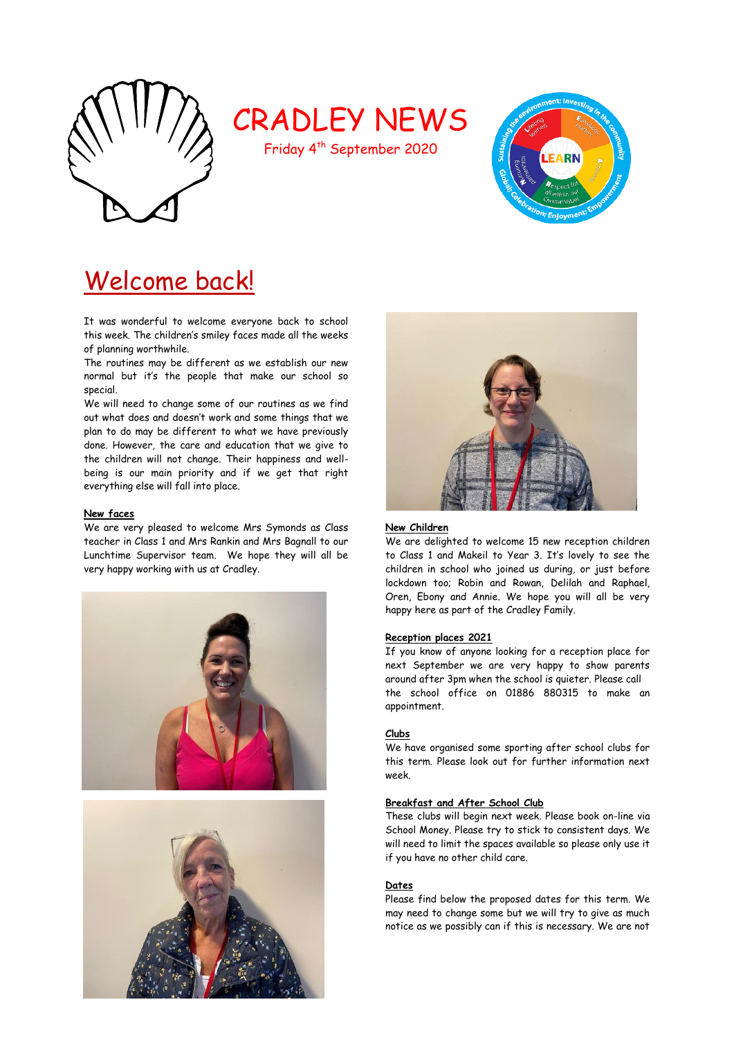

# CRADLEY NEWS

Friday 4th September 2020



# Welcome back!

It was wonderful to welcome everyone back to school this week. The children's smiley faces made all the weeks of planning worthwhile.

The routines may be different as we establish our new normal but it's the people that make our school so special.

We will need to change some of our routines as we find out what does and doesn't work and some things that we plan to do may be different to what we have previously done. However, the care and education that we give to the children will not change. Their happiness and wellbeing is our main priority and if we get that right everything else will fall into place.

# **New faces**

We are very pleased to welcome Mrs Symonds as Class teacher in Class 1 and Mrs Rankin and Mrs Bagnall to our Lunchtime Supervisor team. We hope they will all be very happy working with us at Cradley.







## **New Children**

We are delighted to welcome 15 new reception children to Class 1 and Makeil to Year 3. It's lovely to see the children in school who joined us during, or just before lockdown too; Robin and Rowan, Delilah and Raphael, Oren, Ebony and Annie. We hope you will all be very happy here as part of the Cradley Family.

# **Reception places 2021**

If you know of anyone looking for a reception place for next September we are very happy to show parents around after 3pm when the school is quieter. Please call the school office on 01886 880315 to make an appointment.

# **Clubs**

We have organised some sporting after school clubs for this term. Please look out for further information next week.

## **Breakfast and After School Club**

These clubs will begin next week. Please book on-line via School Money. Please try to stick to consistent days. We will need to limit the spaces available so please only use it if you have no other child care.

#### **Dates**

Please find below the proposed dates for this term. We may need to change some but we will try to give as much notice as we possibly can if this is necessary. We are not